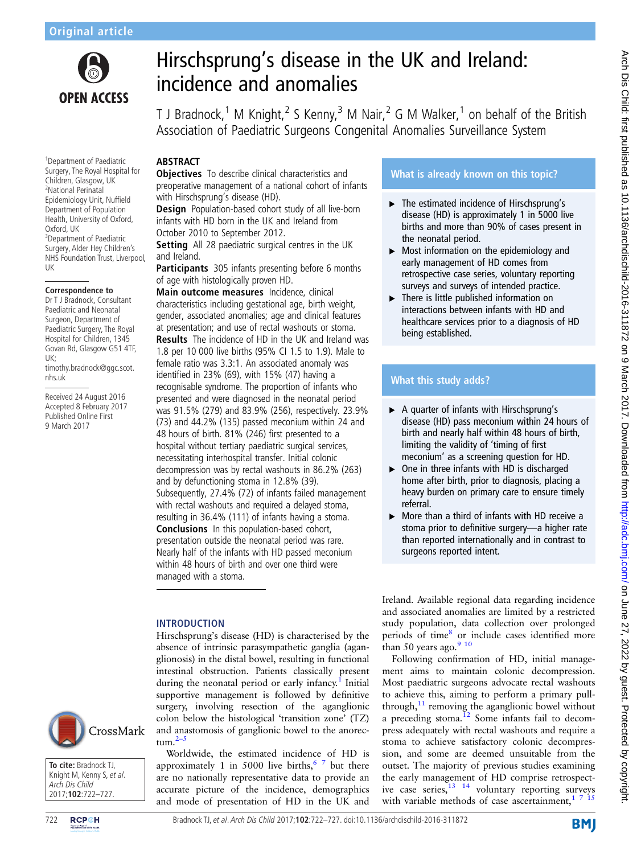

<sup>1</sup> Department of Paediatric Surgery, The Royal Hospital for Children, Glasgow, UK 2 National Perinatal Epidemiology Unit, Nuffield Department of Population Health, University of Oxford, Oxford, UK <sup>3</sup>Department of Paediatric Surgery, Alder Hey Children's NHS Foundation Trust, Liverpool, UK

#### **Correspondence to**

Dr T J Bradnock, Consultant Paediatric and Neonatal Surgeon, Department of Paediatric Surgery, The Royal Hospital for Children, 1345 Govan Rd, Glasgow G51 4TF, UK; timothy.bradnock@ggc.scot. nhs.uk

Received 24 August 2016 Accepted 8 February 2017 Published Online First 9 March 2017

# Hirschsprung's disease in the UK and Ireland: incidence and anomalies

T J Bradnock,<sup>1</sup> M Knight,<sup>2</sup> S Kenny,<sup>3</sup> M Nair,<sup>2</sup> G M Walker,<sup>1</sup> on behalf of the British Association of Paediatric Surgeons Congenital Anomalies Surveillance System

# ABSTRACT

**Objectives** To describe clinical characteristics and preoperative management of a national cohort of infants with Hirschsprung's disease (HD).

Design Population-based cohort study of all live-born infants with HD born in the UK and Ireland from October 2010 to September 2012.

Setting All 28 paediatric surgical centres in the UK and Ireland.

Participants 305 infants presenting before 6 months of age with histologically proven HD.

Main outcome measures Incidence, clinical characteristics including gestational age, birth weight, gender, associated anomalies; age and clinical features at presentation; and use of rectal washouts or stoma. Results The incidence of HD in the UK and Ireland was 1.8 per 10 000 live births (95% CI 1.5 to 1.9). Male to female ratio was 3.3:1. An associated anomaly was identified in 23% (69), with 15% (47) having a recognisable syndrome. The proportion of infants who presented and were diagnosed in the neonatal period was 91.5% (279) and 83.9% (256), respectively. 23.9% (73) and 44.2% (135) passed meconium within 24 and 48 hours of birth. 81% (246) first presented to a hospital without tertiary paediatric surgical services, necessitating interhospital transfer. Initial colonic decompression was by rectal washouts in 86.2% (263) and by defunctioning stoma in 12.8% (39). Subsequently, 27.4% (72) of infants failed management with rectal washouts and required a delayed stoma, resulting in 36.4% (111) of infants having a stoma. Conclusions In this population-based cohort, presentation outside the neonatal period was rare. Nearly half of the infants with HD passed meconium within 48 hours of birth and over one third were managed with a stoma.

## INTRODUCTION

Hirschsprung's disease (HD) is characterised by the absence of intrinsic parasympathetic ganglia (aganglionosis) in the distal bowel, resulting in functional intestinal obstruction. Patients classically present during the neonatal period or early infancy.<sup>[1](#page-4-0)</sup> Initial supportive management is followed by definitive surgery, involving resection of the aganglionic colon below the histological 'transition zone' (TZ) and anastomosis of ganglionic bowel to the anorectum. $2-5$  $2-5$ 

Worldwide, the estimated incidence of HD is approximately 1 in 5000 live births,  $67$  but there are no nationally representative data to provide an accurate picture of the incidence, demographics and mode of presentation of HD in the UK and

# What is already known on this topic?

- ▸ The estimated incidence of Hirschsprung's disease (HD) is approximately 1 in 5000 live births and more than 90% of cases present in the neonatal period.
- ▸ Most information on the epidemiology and early management of HD comes from retrospective case series, voluntary reporting surveys and surveys of intended practice.
- ▸ There is little published information on interactions between infants with HD and healthcare services prior to a diagnosis of HD being established.

# What this study adds?

- ▶ A quarter of infants with Hirschsprung's disease (HD) pass meconium within 24 hours of birth and nearly half within 48 hours of birth, limiting the validity of 'timing of first meconium' as a screening question for HD.
- ▸ One in three infants with HD is discharged home after birth, prior to diagnosis, placing a heavy burden on primary care to ensure timely referral.
- ▸ More than a third of infants with HD receive a stoma prior to definitive surgery—a higher rate than reported internationally and in contrast to surgeons reported intent.

Ireland. Available regional data regarding incidence and associated anomalies are limited by a restricted study population, data collection over prolonged periods of time<sup>[8](#page-4-0)</sup> or include cases identified more than 50 years ago. $910$ 

Following confirmation of HD, initial management aims to maintain colonic decompression. Most paediatric surgeons advocate rectal washouts to achieve this, aiming to perform a primary pullthrough, $11$  removing the aganglionic bowel without a preceding stoma.<sup>[12](#page-5-0)</sup> Some infants fail to decompress adequately with rectal washouts and require a stoma to achieve satisfactory colonic decompression, and some are deemed unsuitable from the outset. The majority of previous studies examining the early management of HD comprise retrospective case series,  $13 \tcdot 14$  voluntary reporting surveys with variable methods of case ascertainment, $1715$ 



| To cite: Bradnock TJ,                                            |  |  |
|------------------------------------------------------------------|--|--|
|                                                                  |  |  |
|                                                                  |  |  |
| Knight M, Kenny S, et al.<br>Arch Dis Child<br>2017;102:722–727. |  |  |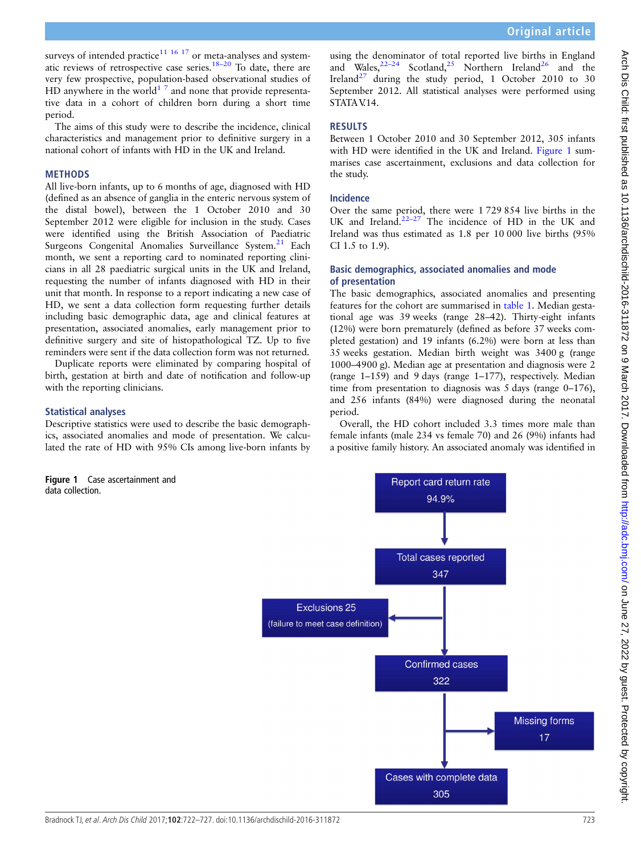surveys of intended practice $11 16 17$  or meta-analyses and system-atic reviews of retrospective case series.<sup>18–[20](#page-5-0)</sup> To date, there are very few prospective, population-based observational studies of HD anywhere in the world<sup>[1 7](#page-4-0)</sup> and none that provide representative data in a cohort of children born during a short time period.

The aims of this study were to describe the incidence, clinical characteristics and management prior to definitive surgery in a national cohort of infants with HD in the UK and Ireland.

#### **METHODS**

All live-born infants, up to 6 months of age, diagnosed with HD (defined as an absence of ganglia in the enteric nervous system of the distal bowel), between the 1 October 2010 and 30 September 2012 were eligible for inclusion in the study. Cases were identified using the British Association of Paediatric Surgeons Congenital Anomalies Surveillance System.<sup>[21](#page-5-0)</sup> Each month, we sent a reporting card to nominated reporting clinicians in all 28 paediatric surgical units in the UK and Ireland, requesting the number of infants diagnosed with HD in their unit that month. In response to a report indicating a new case of HD, we sent a data collection form requesting further details including basic demographic data, age and clinical features at presentation, associated anomalies, early management prior to definitive surgery and site of histopathological TZ. Up to five reminders were sent if the data collection form was not returned.

Duplicate reports were eliminated by comparing hospital of birth, gestation at birth and date of notification and follow-up with the reporting clinicians.

#### Statistical analyses

Descriptive statistics were used to describe the basic demographics, associated anomalies and mode of presentation. We calculated the rate of HD with 95% CIs among live-born infants by

Figure 1 Case ascertainment and data collection.

using the denominator of total reported live births in England and Wales,  $2^{2-24}$  Scotland,  $2^5$  Northern Ireland  $2^6$  and the Ireland<sup>[27](#page-5-0)</sup> during the study period, 1 October 2010 to 30 September 2012. All statistical analyses were performed using STATA<sub>V.14</sub>.

#### **RESULTS**

Between 1 October 2010 and 30 September 2012, 305 infants with HD were identified in the UK and Ireland. Figure 1 summarises case ascertainment, exclusions and data collection for the study.

#### Incidence

Over the same period, there were 1 729 854 live births in the UK and Ireland.<sup>[22](#page-5-0)-27</sup> The incidence of HD in the UK and Ireland was thus estimated as 1.8 per 10 000 live births (95% CI 1.5 to 1.9).

#### Basic demographics, associated anomalies and mode of presentation

The basic demographics, associated anomalies and presenting features for the cohort are summarised in [table 1](#page-2-0). Median gestational age was 39 weeks (range 28–42). Thirty-eight infants (12%) were born prematurely (defined as before 37 weeks completed gestation) and 19 infants (6.2%) were born at less than 35 weeks gestation. Median birth weight was 3400 g (range 1000–4900 g). Median age at presentation and diagnosis were 2 (range 1–159) and 9 days (range 1–177), respectively. Median time from presentation to diagnosis was 5 days (range 0–176), and 256 infants (84%) were diagnosed during the neonatal period.

Overall, the HD cohort included 3.3 times more male than female infants (male 234 vs female 70) and 26 (9%) infants had a positive family history. An associated anomaly was identified in

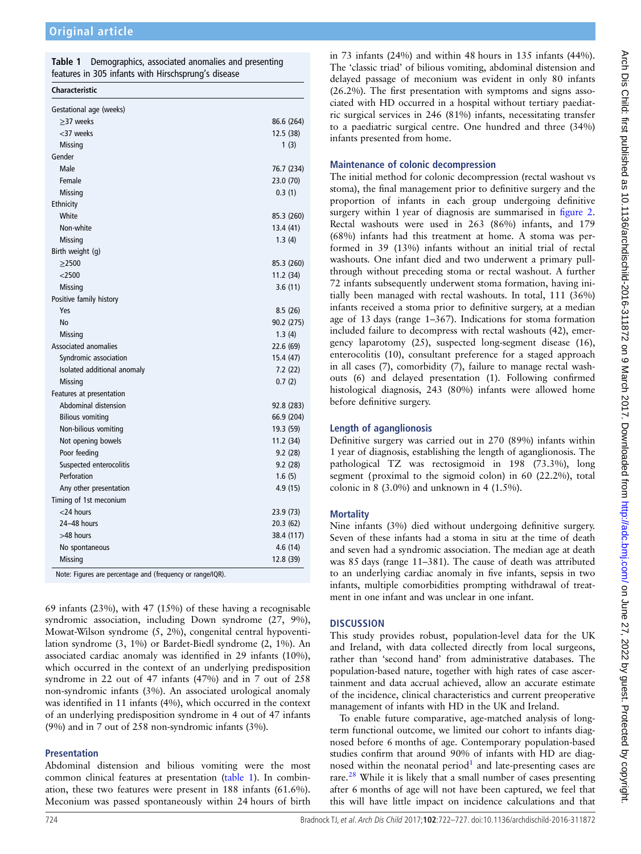<span id="page-2-0"></span>

| Table 1 Demographics, associated anomalies and presenting |
|-----------------------------------------------------------|
| features in 305 infants with Hirschsprung's disease       |

| <b>Characteristic</b>       |            |  |
|-----------------------------|------------|--|
| Gestational age (weeks)     |            |  |
| $\geq$ 37 weeks             | 86.6 (264) |  |
| <37 weeks                   | 12.5 (38)  |  |
| Missing                     | 1(3)       |  |
| Gender                      |            |  |
| Male                        | 76.7 (234) |  |
| Female                      | 23.0 (70)  |  |
| <b>Missing</b>              | 0.3(1)     |  |
| Ethnicity                   |            |  |
| White                       | 85.3 (260) |  |
| Non-white                   | 13.4 (41)  |  |
| <b>Missing</b>              | 1.3(4)     |  |
| Birth weight (g)            |            |  |
| >2500                       | 85.3 (260) |  |
| $<$ 2500                    | 11.2 (34)  |  |
| <b>Missing</b>              | 3.6(11)    |  |
| Positive family history     |            |  |
| Yes                         | 8.5(26)    |  |
| <b>No</b>                   | 90.2 (275) |  |
| Missing                     | 1.3(4)     |  |
| <b>Associated anomalies</b> | 22.6 (69)  |  |
| Syndromic association       | 15.4 (47)  |  |
| Isolated additional anomaly | 7.2 (22)   |  |
| <b>Missing</b>              | 0.7(2)     |  |
| Features at presentation    |            |  |
| Abdominal distension        | 92.8 (283) |  |
| <b>Bilious vomiting</b>     | 66.9 (204) |  |
| Non-bilious vomiting        | 19.3 (59)  |  |
| Not opening bowels          | 11.2 (34)  |  |
| Poor feeding                | 9.2(28)    |  |
| Suspected enterocolitis     | 9.2(28)    |  |
| Perforation                 | 1.6(5)     |  |
| Any other presentation      | 4.9 (15)   |  |
| Timing of 1st meconium      |            |  |
| $<$ 24 hours                | 23.9 (73)  |  |
| 24-48 hours                 | 20.3(62)   |  |
| >48 hours                   | 38.4 (117) |  |
| No spontaneous              | 4.6 (14)   |  |
| Missing                     | 12.8 (39)  |  |

Note: Figures are percentage and (frequency or range/IQR).

69 infants (23%), with 47 (15%) of these having a recognisable syndromic association, including Down syndrome  $(27, 9\%)$ , Mowat-Wilson syndrome (5, 2%), congenital central hypoventilation syndrome (3, 1%) or Bardet-Biedl syndrome (2, 1%). An associated cardiac anomaly was identified in 29 infants (10%), which occurred in the context of an underlying predisposition syndrome in 22 out of 47 infants (47%) and in 7 out of 258 non-syndromic infants (3%). An associated urological anomaly was identified in 11 infants (4%), which occurred in the context of an underlying predisposition syndrome in 4 out of 47 infants (9%) and in 7 out of 258 non-syndromic infants (3%).

## Presentation

Abdominal distension and bilious vomiting were the most common clinical features at presentation (table 1). In combination, these two features were present in 188 infants (61.6%). Meconium was passed spontaneously within 24 hours of birth

in 73 infants (24%) and within 48 hours in 135 infants (44%). The 'classic triad' of bilious vomiting, abdominal distension and delayed passage of meconium was evident in only 80 infants (26.2%). The first presentation with symptoms and signs associated with HD occurred in a hospital without tertiary paediatric surgical services in 246 (81%) infants, necessitating transfer to a paediatric surgical centre. One hundred and three (34%) infants presented from home.

## Maintenance of colonic decompression

The initial method for colonic decompression (rectal washout vs stoma), the final management prior to definitive surgery and the proportion of infants in each group undergoing definitive surgery within 1 year of diagnosis are summarised in fi[gure 2.](#page-3-0) Rectal washouts were used in 263 (86%) infants, and 179 (68%) infants had this treatment at home. A stoma was performed in 39 (13%) infants without an initial trial of rectal washouts. One infant died and two underwent a primary pullthrough without preceding stoma or rectal washout. A further 72 infants subsequently underwent stoma formation, having initially been managed with rectal washouts. In total, 111 (36%) infants received a stoma prior to definitive surgery, at a median age of 13 days (range 1–367). Indications for stoma formation included failure to decompress with rectal washouts (42), emergency laparotomy (25), suspected long-segment disease (16), enterocolitis (10), consultant preference for a staged approach in all cases (7), comorbidity (7), failure to manage rectal washouts (6) and delayed presentation (1). Following confirmed histological diagnosis, 243 (80%) infants were allowed home before definitive surgery.

## Length of aganglionosis

Definitive surgery was carried out in 270 (89%) infants within 1 year of diagnosis, establishing the length of aganglionosis. The pathological TZ was rectosigmoid in 198 (73.3%), long segment (proximal to the sigmoid colon) in 60 (22.2%), total colonic in 8  $(3.0\%)$  and unknown in 4  $(1.5\%)$ .

# **Mortality**

Nine infants (3%) died without undergoing definitive surgery. Seven of these infants had a stoma in situ at the time of death and seven had a syndromic association. The median age at death was 85 days (range 11–381). The cause of death was attributed to an underlying cardiac anomaly in five infants, sepsis in two infants, multiple comorbidities prompting withdrawal of treatment in one infant and was unclear in one infant.

# **DISCUSSION**

This study provides robust, population-level data for the UK and Ireland, with data collected directly from local surgeons, rather than 'second hand' from administrative databases. The population-based nature, together with high rates of case ascertainment and data accrual achieved, allow an accurate estimate of the incidence, clinical characteristics and current preoperative management of infants with HD in the UK and Ireland.

To enable future comparative, age-matched analysis of longterm functional outcome, we limited our cohort to infants diagnosed before 6 months of age. Contemporary population-based studies confirm that around 90% of infants with HD are diagnosed within the neonatal period<sup>1</sup> and late-presenting cases are rare. $^{28}$  $^{28}$  $^{28}$  While it is likely that a small number of cases presenting after 6 months of age will not have been captured, we feel that this will have little impact on incidence calculations and that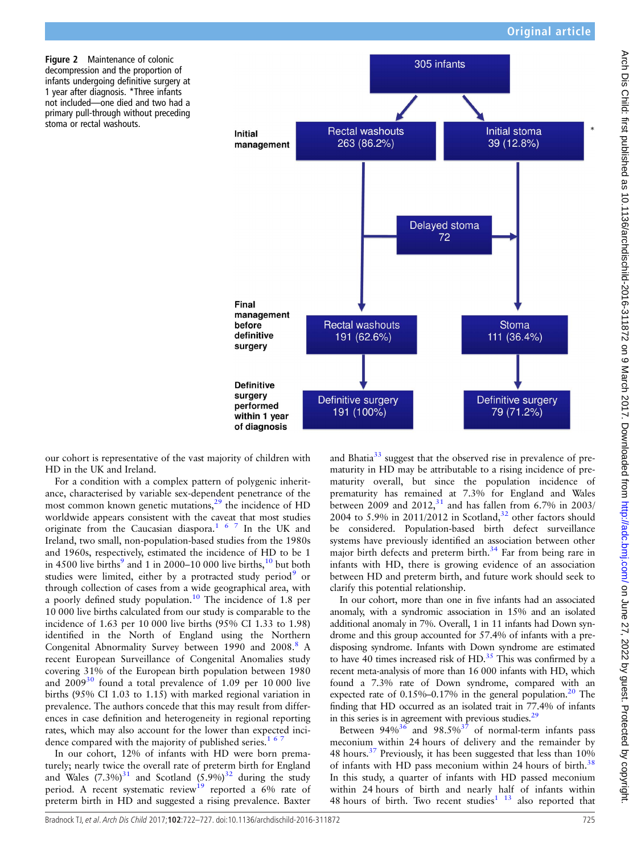<span id="page-3-0"></span>Figure 2 Maintenance of colonic decompression and the proportion of infants undergoing definitive surgery at 1 year after diagnosis. \*Three infants not included—one died and two had a primary pull-through without preceding stoma or rectal washouts.



our cohort is representative of the vast majority of children with HD in the UK and Ireland.

For a condition with a complex pattern of polygenic inheritance, characterised by variable sex-dependent penetrance of the most common known genetic mutations,<sup>[29](#page-5-0)</sup> the incidence of HD worldwide appears consistent with the caveat that most studies originate from the Caucasian diaspora.<sup>[167](#page-4-0)</sup> In the UK and Ireland, two small, non-population-based studies from the 1980s and 1960s, respectively, estimated the incidence of HD to be 1 in 4500 live births $9$  and 1 in 2000–[10](#page-4-0) 000 live births,  $10$  but both studies were limited, either by a protracted study period<sup>[9](#page-4-0)</sup> or through collection of cases from a wide geographical area, with a poorly defined study population.<sup>[10](#page-4-0)</sup> The incidence of 1.8 per 10 000 live births calculated from our study is comparable to the incidence of 1.63 per 10 000 live births (95% CI 1.33 to 1.98) identified in the North of England using the Northern Congenital Abnormality Survey between 1990 and 200[8](#page-4-0).<sup>8</sup> A recent European Surveillance of Congenital Anomalies study covering 31% of the European birth population between 1980 and  $2009^{30}$  found a total prevalence of 1.09 per 10 000 live births (95% CI 1.03 to 1.15) with marked regional variation in prevalence. The authors concede that this may result from differences in case definition and heterogeneity in regional reporting rates, which may also account for the lower than expected incidence compared with the majority of published series. $16$ 

In our cohort, 12% of infants with HD were born prematurely; nearly twice the overall rate of preterm birth for England and Wales  $(7.3\%)^{31}$  $(7.3\%)^{31}$  $(7.3\%)^{31}$  and Scotland  $(5.9\%)^{32}$  $(5.9\%)^{32}$  $(5.9\%)^{32}$  during the study period. A recent systematic review<sup>[19](#page-5-0)</sup> reported a 6% rate of preterm birth in HD and suggested a rising prevalence. Baxter

and Bhatia<sup>[33](#page-5-0)</sup> suggest that the observed rise in prevalence of prematurity in HD may be attributable to a rising incidence of prematurity overall, but since the population incidence of prematurity has remained at 7.3% for England and Wales between 2009 and 2012, $31$  and has fallen from 6.7% in 2003/ 2004 to 5.9% in 2011/2012 in Scotland, $32$  other factors should be considered. Population-based birth defect surveillance systems have previously identified an association between other major birth defects and preterm birth. $34$  Far from being rare in infants with HD, there is growing evidence of an association between HD and preterm birth, and future work should seek to clarify this potential relationship.

In our cohort, more than one in five infants had an associated anomaly, with a syndromic association in 15% and an isolated additional anomaly in 7%. Overall, 1 in 11 infants had Down syndrome and this group accounted for 57.4% of infants with a predisposing syndrome. Infants with Down syndrome are estimated to have 40 times increased risk of HD. $35$  This was confirmed by a recent meta-analysis of more than 16 000 infants with HD, which found a 7.3% rate of Down syndrome, compared with an expected rate of  $0.15\%$ –0.17% in the general population.<sup>[20](#page-5-0)</sup> The finding that HD occurred as an isolated trait in 77.4% of infants in this series is in agreement with previous studies.<sup>[29](#page-5-0)</sup>

Between  $94\%^{36}$  $94\%^{36}$  $94\%^{36}$  and  $98.5\%^{37}$  of normal-term infants pass meconium within 24 hours of delivery and the remainder by 48 hours.<sup>[37](#page-5-0)</sup> Previously, it has been suggested that less than 10% of infants with HD pass meconium within 24 hours of birth.<sup>[38](#page-5-0)</sup> In this study, a quarter of infants with HD passed meconium within 24 hours of birth and nearly half of infants within 48 hours of birth. Two recent studies<sup>[1](#page-4-0)</sup> <sup>13</sup> also reported that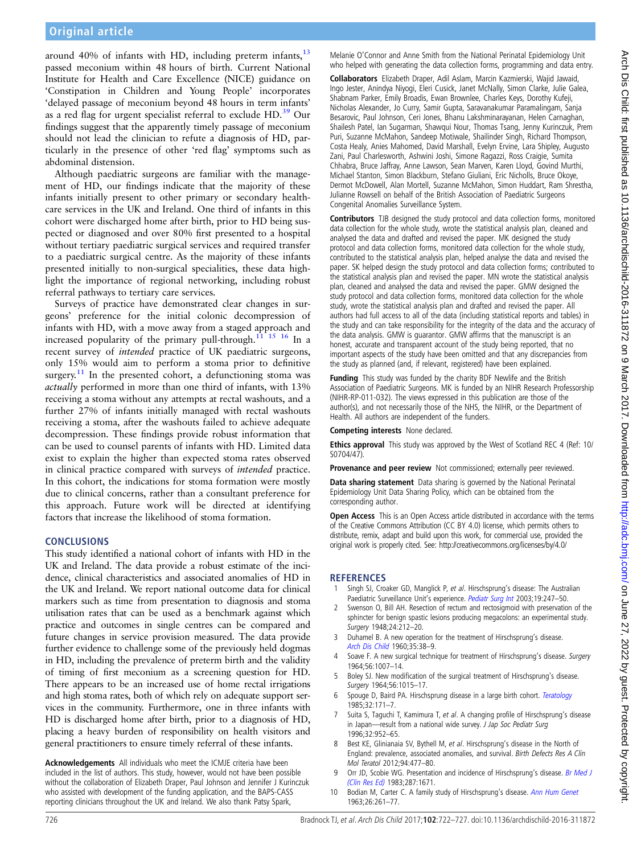<span id="page-4-0"></span>around 40% of infants with HD, including preterm infants,<sup>13</sup> passed meconium within 48 hours of birth. Current National Institute for Health and Care Excellence (NICE) guidance on 'Constipation in Children and Young People' incorporates 'delayed passage of meconium beyond 48 hours in term infants' as a red flag for urgent specialist referral to exclude HD.<sup>[39](#page-5-0)</sup> Our findings suggest that the apparently timely passage of meconium should not lead the clinician to refute a diagnosis of HD, particularly in the presence of other 'red flag' symptoms such as abdominal distension.

Although paediatric surgeons are familiar with the management of HD, our findings indicate that the majority of these infants initially present to other primary or secondary healthcare services in the UK and Ireland. One third of infants in this cohort were discharged home after birth, prior to HD being suspected or diagnosed and over 80% first presented to a hospital without tertiary paediatric surgical services and required transfer to a paediatric surgical centre. As the majority of these infants presented initially to non-surgical specialities, these data highlight the importance of regional networking, including robust referral pathways to tertiary care services.

Surveys of practice have demonstrated clear changes in surgeons' preference for the initial colonic decompression of infants with HD, with a move away from a staged approach and increased popularity of the primary pull-through.<sup>11 15</sup> 16 In a recent survey of intended practice of UK paediatric surgeons, only 15% would aim to perform a stoma prior to definitive surgery.<sup>[11](#page-5-0)</sup> In the presented cohort, a defunctioning stoma was actually performed in more than one third of infants, with 13% receiving a stoma without any attempts at rectal washouts, and a further 27% of infants initially managed with rectal washouts receiving a stoma, after the washouts failed to achieve adequate decompression. These findings provide robust information that can be used to counsel parents of infants with HD. Limited data exist to explain the higher than expected stoma rates observed in clinical practice compared with surveys of intended practice. In this cohort, the indications for stoma formation were mostly due to clinical concerns, rather than a consultant preference for this approach. Future work will be directed at identifying factors that increase the likelihood of stoma formation.

#### **CONCLUSIONS**

This study identified a national cohort of infants with HD in the UK and Ireland. The data provide a robust estimate of the incidence, clinical characteristics and associated anomalies of HD in the UK and Ireland. We report national outcome data for clinical markers such as time from presentation to diagnosis and stoma utilisation rates that can be used as a benchmark against which practice and outcomes in single centres can be compared and future changes in service provision measured. The data provide further evidence to challenge some of the previously held dogmas in HD, including the prevalence of preterm birth and the validity of timing of first meconium as a screening question for HD. There appears to be an increased use of home rectal irrigations and high stoma rates, both of which rely on adequate support services in the community. Furthermore, one in three infants with HD is discharged home after birth, prior to a diagnosis of HD, placing a heavy burden of responsibility on health visitors and general practitioners to ensure timely referral of these infants.

Acknowledgements All individuals who meet the ICMJE criteria have been included in the list of authors. This study, however, would not have been possible without the collaboration of Elizabeth Draper, Paul Johnson and Jennifer J Kurinczuk who assisted with development of the funding application, and the BAPS-CASS reporting clinicians throughout the UK and Ireland. We also thank Patsy Spark,

Melanie O'Connor and Anne Smith from the National Perinatal Epidemiology Unit who helped with generating the data collection forms, programming and data entry.

Collaborators Elizabeth Draper, Adil Aslam, Marcin Kazmierski, Wajid Jawaid, Ingo Jester, Anindya Niyogi, Eleri Cusick, Janet McNally, Simon Clarke, Julie Galea, Shabnam Parker, Emily Broadis, Ewan Brownlee, Charles Keys, Dorothy Kufeji, Nicholas Alexander, Jo Curry, Samir Gupta, Saravanakumar Paramalingam, Sanja Besarovic, Paul Johnson, Ceri Jones, Bhanu Lakshminarayanan, Helen Carnaghan, Shailesh Patel, Ian Sugarman, Shawqui Nour, Thomas Tsang, Jenny Kurinczuk, Prem Puri, Suzanne McMahon, Sandeep Motiwale, Shailinder Singh, Richard Thompson, Costa Healy, Anies Mahomed, David Marshall, Evelyn Ervine, Lara Shipley, Augusto Zani, Paul Charlesworth, Ashwini Joshi, Simone Ragazzi, Ross Craigie, Sumita Chhabra, Bruce Jaffray, Anne Lawson, Sean Marven, Karen Lloyd, Govind Murthi, Michael Stanton, Simon Blackburn, Stefano Giuliani, Eric Nicholls, Bruce Okoye, Dermot McDowell, Alan Mortell, Suzanne McMahon, Simon Huddart, Ram Shrestha, Julianne Rowsell on behalf of the British Association of Paediatric Surgeons Congenital Anomalies Surveillance System.

Contributors TJB designed the study protocol and data collection forms, monitored data collection for the whole study, wrote the statistical analysis plan, cleaned and analysed the data and drafted and revised the paper. MK designed the study protocol and data collection forms, monitored data collection for the whole study, contributed to the statistical analysis plan, helped analyse the data and revised the paper. SK helped design the study protocol and data collection forms; contributed to the statistical analysis plan and revised the paper. MN wrote the statistical analysis plan, cleaned and analysed the data and revised the paper. GMW designed the study protocol and data collection forms, monitored data collection for the whole study, wrote the statistical analysis plan and drafted and revised the paper. All authors had full access to all of the data (including statistical reports and tables) in the study and can take responsibility for the integrity of the data and the accuracy of the data analysis. GMW is guarantor. GMW affirms that the manuscript is an honest, accurate and transparent account of the study being reported, that no important aspects of the study have been omitted and that any discrepancies from the study as planned (and, if relevant, registered) have been explained.

**Funding** This study was funded by the charity BDF Newlife and the British Association of Paediatric Surgeons. MK is funded by an NIHR Research Professorship (NIHR-RP-011-032). The views expressed in this publication are those of the author(s), and not necessarily those of the NHS, the NIHR, or the Department of Health. All authors are independent of the funders.

Competing interests None declared.

Ethics approval This study was approved by the West of Scotland REC 4 (Ref: 10/ S0704/47).

**Provenance and peer review** Not commissioned; externally peer reviewed.

Data sharing statement Data sharing is governed by the National Perinatal Epidemiology Unit Data Sharing Policy, which can be obtained from the corresponding author.

**Open Access** This is an Open Access article distributed in accordance with the terms of the Creative Commons Attribution (CC BY 4.0) license, which permits others to distribute, remix, adapt and build upon this work, for commercial use, provided the original work is properly cited. See:<http://creativecommons.org/licenses/by/4.0/>

## **REFERENCES**

- Singh SJ, Croaker GD, Manglick P, et al. Hirschsprung's disease: The Australian Paediatric Surveillance Unit's experience. [Pediatr Surg Int](http://dx.doi.org/10.1007/s00383-002-0842-z) 2003;19:247-50.
- Swenson O, Bill AH. Resection of rectum and rectosigmoid with preservation of the sphincter for benign spastic lesions producing megacolons: an experimental study. Surgery 1948;24:212–20.
- 3 Duhamel B. A new operation for the treatment of Hirschsprung's disease. [Arch Dis Child](http://dx.doi.org/10.1136/adc.35.179.38) 1960;35:38–9.
- 4 Soave F. A new surgical technique for treatment of Hirschsprung's disease. Surgery 1964;56:1007–14.
- 5 Boley SJ. New modification of the surgical treatment of Hirschsprung's disease. Surgery 1964;56:1015–17.
- 6 Spouge D, Baird PA. Hirschsprung disease in a large birth cohort. [Teratology](http://dx.doi.org/10.1002/tera.1420320204) 1985;32:171–7.
- 7 Suita S, Taguchi T, Kamimura T, et al. A changing profile of Hirschsprung's disease in Japan-result from a national wide survey. J Jap Soc Pediatr Surg 1996;32:952–65.
- 8 Best KE, Glinianaia SV, Bythell M, et al. Hirschsprung's disease in the North of England: prevalence, associated anomalies, and survival. Birth Defects Res A Clin Mol Teratol 2012;94:477–80.
- 9 Orr JD, Scobie WG. Presentation and incidence of Hirschsprung's disease. [Br Med J](http://dx.doi.org/10.1136/bmj.287.6406.1671) [\(Clin Res Ed\)](http://dx.doi.org/10.1136/bmj.287.6406.1671) 1983;287:1671.
- 10 Bodian M, Carter C. A family study of Hirschsprung's disease. [Ann Hum Genet](http://dx.doi.org/10.1111/j.1469-1809.1963.tb01983.x) 1963;26:261–77.